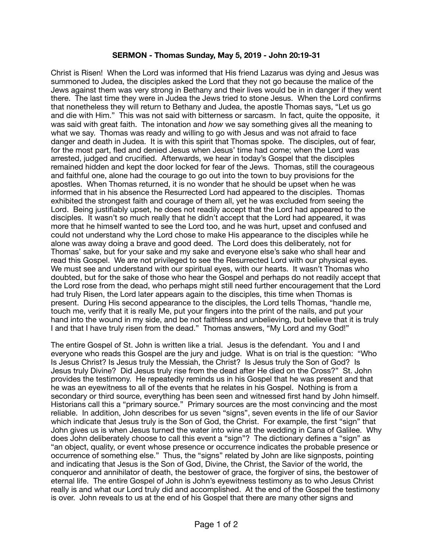## **SERMON - Thomas Sunday, May 5, 2019 - John 20:19-31**

Christ is Risen! When the Lord was informed that His friend Lazarus was dying and Jesus was summoned to Judea, the disciples asked the Lord that they not go because the malice of the Jews against them was very strong in Bethany and their lives would be in in danger if they went there. The last time they were in Judea the Jews tried to stone Jesus. When the Lord confirms that nonetheless they will return to Bethany and Judea, the apostle Thomas says, "Let us go and die with Him." This was not said with bitterness or sarcasm. In fact, quite the opposite, it was said with great faith. The intonation and *how* we say something gives all the meaning to what we say. Thomas was ready and willing to go with Jesus and was not afraid to face danger and death in Judea. It is with this spirit that Thomas spoke. The disciples, out of fear, for the most part, fled and denied Jesus when Jesus' time had come; when the Lord was arrested, judged and crucified. Afterwards, we hear in today's Gospel that the disciples remained hidden and kept the door locked for fear of the Jews. Thomas, still the courageous and faithful one, alone had the courage to go out into the town to buy provisions for the apostles. When Thomas returned, it is no wonder that he should be upset when he was informed that in his absence the Resurrected Lord had appeared to the disciples. Thomas exhibited the strongest faith and courage of them all, yet he was excluded from seeing the Lord. Being justifiably upset, he does not readily accept that the Lord had appeared to the disciples. It wasn't so much really that he didn't accept that the Lord had appeared, it was more that he himself wanted to see the Lord too, and he was hurt, upset and confused and could not understand why the Lord chose to make His appearance to the disciples while he alone was away doing a brave and good deed. The Lord does this deliberately, not for Thomas' sake, but for your sake and my sake and everyone else's sake who shall hear and read this Gospel. We are not privileged to see the Resurrected Lord with our physical eyes. We must see and understand with our spiritual eyes, with our hearts. It wasn't Thomas who doubted, but for the sake of those who hear the Gospel and perhaps do not readily accept that the Lord rose from the dead, who perhaps might still need further encouragement that the Lord had truly Risen, the Lord later appears again to the disciples, this time when Thomas is present. During His second appearance to the disciples, the Lord tells Thomas, "handle me, touch me, verify that it is really Me, put your fingers into the print of the nails, and put your hand into the wound in my side, and be not faithless and unbelieving, but believe that it is truly I and that I have truly risen from the dead." Thomas answers, "My Lord and my God!"

The entire Gospel of St. John is written like a trial. Jesus is the defendant. You and I and everyone who reads this Gospel are the jury and judge. What is on trial is the question: "Who Is Jesus Christ? Is Jesus truly the Messiah, the Christ? Is Jesus truly the Son of God? Is Jesus truly Divine? Did Jesus truly rise from the dead after He died on the Cross?" St. John provides the testimony. He repeatedly reminds us in his Gospel that he was present and that he was an eyewitness to all of the events that he relates in his Gospel. Nothing is from a secondary or third source, everything has been seen and witnessed first hand by John himself. Historians call this a "primary source." Primary sources are the most convincing and the most reliable. In addition, John describes for us seven "signs", seven events in the life of our Savior which indicate that Jesus truly is the Son of God, the Christ. For example, the first "sign" that John gives us is when Jesus turned the water into wine at the wedding in Cana of Galilee. Why does John deliberately choose to call this event a "sign"? The dictionary defines a "sign" as "an object, quality, or event whose presence or occurrence indicates the probable presence or occurrence of something else." Thus, the "signs" related by John are like signposts, pointing and indicating that Jesus is the Son of God, Divine, the Christ, the Savior of the world, the conqueror and annihilator of death, the bestower of grace, the forgiver of sins, the bestower of eternal life. The entire Gospel of John is John's eyewitness testimony as to who Jesus Christ really is and what our Lord truly did and accomplished. At the end of the Gospel the testimony is over. John reveals to us at the end of his Gospel that there are many other signs and